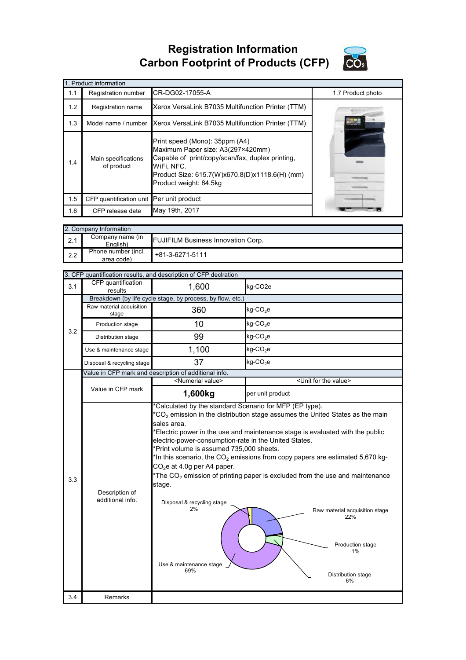**Registration Information Carbon Footprint of Products (CFP)**



| 1. Product information |                                          |                                                                                                                                                                                                                   |                   |  |  |
|------------------------|------------------------------------------|-------------------------------------------------------------------------------------------------------------------------------------------------------------------------------------------------------------------|-------------------|--|--|
| 1.1                    | Registration number                      | CR-DG02-17055-A                                                                                                                                                                                                   | 1.7 Product photo |  |  |
| 1.2                    | Registration name                        | Xerox VersaLink B7035 Multifunction Printer (TTM)                                                                                                                                                                 |                   |  |  |
| 1.3                    | Model name / number                      | Xerox VersaLink B7035 Multifunction Printer (TTM)                                                                                                                                                                 | <b>IFARDS</b>     |  |  |
| 1.4                    | Main specifications<br>of product        | Print speed (Mono): 35ppm (A4)<br>Maximum Paper size: A3(297×420mm)<br>Capable of print/copy/scan/fax, duplex printing,<br>WiFi, NFC.<br>Product Size: 615.7(W)x670.8(D)x1118.6(H) (mm)<br>Product weight: 84.5kg |                   |  |  |
| 1.5                    | CFP quantification unit Per unit product |                                                                                                                                                                                                                   |                   |  |  |
| 1.6                    | CFP release date                         | May 19th, 2017                                                                                                                                                                                                    |                   |  |  |

|     | 2. Company Information            |                                           |  |  |  |
|-----|-----------------------------------|-------------------------------------------|--|--|--|
| 2.1 | Company name (in<br>English)      | <b>FUJIFILM Business Innovation Corp.</b> |  |  |  |
| 2.2 | Phone number (incl.<br>area code) | $+81-3-6271-5111$                         |  |  |  |

|     | 3. CFP quantification results, and description of CFP declration |                                                                                                                                                                                                                                                                                                                                                                                                                                                                                                                                                                                                                                                                                                                                     |                                      |  |  |
|-----|------------------------------------------------------------------|-------------------------------------------------------------------------------------------------------------------------------------------------------------------------------------------------------------------------------------------------------------------------------------------------------------------------------------------------------------------------------------------------------------------------------------------------------------------------------------------------------------------------------------------------------------------------------------------------------------------------------------------------------------------------------------------------------------------------------------|--------------------------------------|--|--|
| 3.1 | CFP quantification<br>results                                    | 1,600                                                                                                                                                                                                                                                                                                                                                                                                                                                                                                                                                                                                                                                                                                                               | kg-CO2e                              |  |  |
|     | Breakdown (by life cycle stage, by process, by flow, etc.)       |                                                                                                                                                                                                                                                                                                                                                                                                                                                                                                                                                                                                                                                                                                                                     |                                      |  |  |
|     | Raw material acquisition<br>stage                                | 360                                                                                                                                                                                                                                                                                                                                                                                                                                                                                                                                                                                                                                                                                                                                 | $kg$ -CO <sub>2</sub> e              |  |  |
| 3.2 | Production stage                                                 | 10                                                                                                                                                                                                                                                                                                                                                                                                                                                                                                                                                                                                                                                                                                                                  | $kg$ -CO <sub>2</sub> e              |  |  |
|     | Distribution stage                                               | 99                                                                                                                                                                                                                                                                                                                                                                                                                                                                                                                                                                                                                                                                                                                                  | kg-CO <sub>2</sub> e                 |  |  |
|     | Use & maintenance stage                                          | 1,100                                                                                                                                                                                                                                                                                                                                                                                                                                                                                                                                                                                                                                                                                                                               | $kg$ -CO <sub>2</sub> e              |  |  |
|     | Disposal & recycling stage                                       | 37                                                                                                                                                                                                                                                                                                                                                                                                                                                                                                                                                                                                                                                                                                                                  | $kg$ -CO <sub>2</sub> e              |  |  |
|     |                                                                  | Value in CFP mark and description of additional info.                                                                                                                                                                                                                                                                                                                                                                                                                                                                                                                                                                                                                                                                               |                                      |  |  |
|     |                                                                  | <numerial value=""></numerial>                                                                                                                                                                                                                                                                                                                                                                                                                                                                                                                                                                                                                                                                                                      | <unit for="" the="" value=""></unit> |  |  |
|     | Value in CFP mark                                                | 1,600kg                                                                                                                                                                                                                                                                                                                                                                                                                                                                                                                                                                                                                                                                                                                             | per unit product                     |  |  |
| 3.3 | Description of<br>additional info.                               | *Calculated by the standard Scenario for MFP (EP type).<br>$*CO2$ emission in the distribution stage assumes the United States as the main<br>sales area.<br>*Electric power in the use and maintenance stage is evaluated with the public<br>electric-power-consumption-rate in the United States.<br>*Print volume is assumed 735,000 sheets.<br>*In this scenario, the $CO2$ emissions from copy papers are estimated 5,670 kg-<br>$CO2e$ at 4.0g per A4 paper.<br>*The $CO2$ emission of printing paper is excluded from the use and maintenance<br>stage.<br>Disposal & recycling stage<br>2%<br>Raw material acquisition stage<br>22%<br>Production stage<br>1%<br>Use & maintenance stage<br>69%<br>Distribution stage<br>6% |                                      |  |  |
| 3.4 | Remarks                                                          |                                                                                                                                                                                                                                                                                                                                                                                                                                                                                                                                                                                                                                                                                                                                     |                                      |  |  |
|     |                                                                  |                                                                                                                                                                                                                                                                                                                                                                                                                                                                                                                                                                                                                                                                                                                                     |                                      |  |  |